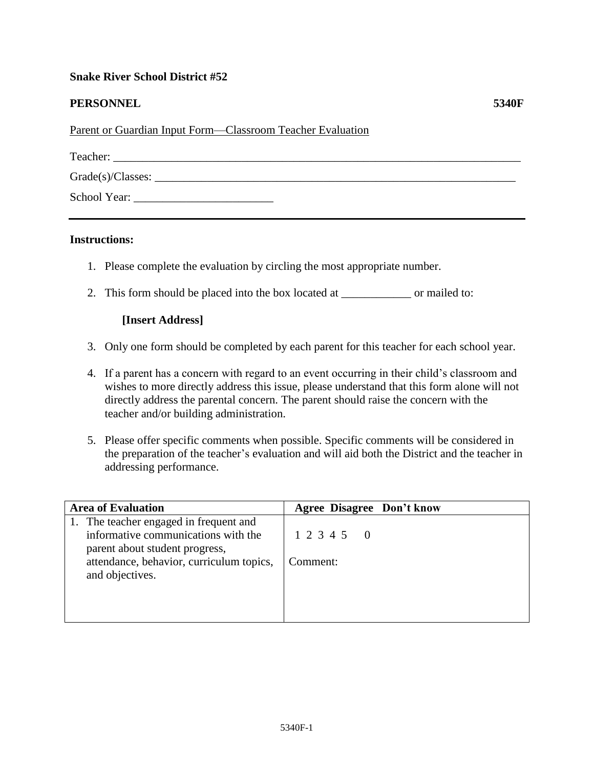## **Snake River School District #52**

## **PERSONNEL 5340F**

Parent or Guardian Input Form—Classroom Teacher Evaluation

| Teacher:             |  |
|----------------------|--|
| $Grade(s)/Classes$ : |  |
| School Year:         |  |

## **Instructions:**

- 1. Please complete the evaluation by circling the most appropriate number.
- 2. This form should be placed into the box located at \_\_\_\_\_\_\_\_\_\_\_\_ or mailed to:

## **[Insert Address]**

- 3. Only one form should be completed by each parent for this teacher for each school year.
- 4. If a parent has a concern with regard to an event occurring in their child's classroom and wishes to more directly address this issue, please understand that this form alone will not directly address the parental concern. The parent should raise the concern with the teacher and/or building administration.
- 5. Please offer specific comments when possible. Specific comments will be considered in the preparation of the teacher's evaluation and will aid both the District and the teacher in addressing performance.

| <b>Area of Evaluation</b>                                                                                                                                                      | <b>Agree Disagree Don't know</b> |
|--------------------------------------------------------------------------------------------------------------------------------------------------------------------------------|----------------------------------|
| 1. The teacher engaged in frequent and<br>informative communications with the<br>parent about student progress,<br>attendance, behavior, curriculum topics,<br>and objectives. | 1 2 3 4 5 0<br>Comment:          |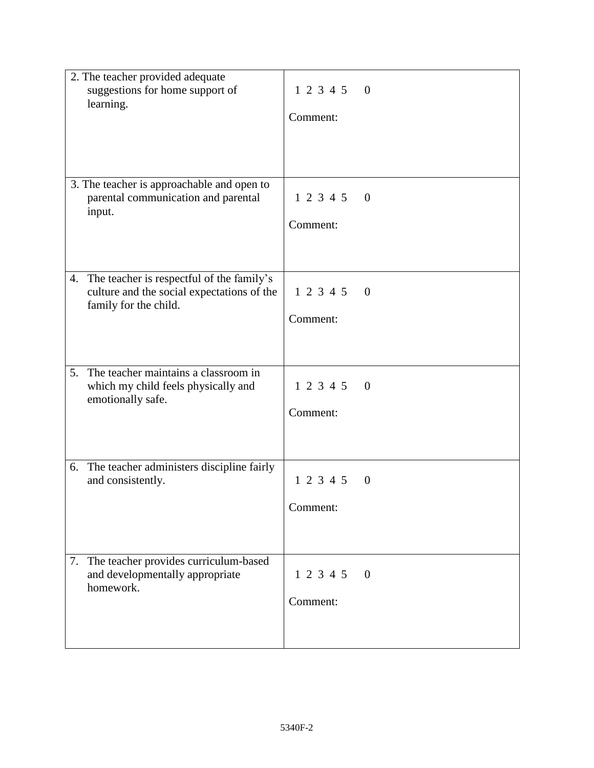| 2. The teacher provided adequate<br>suggestions for home support of<br>learning.                                       | 1 2 3 4 5 0                 |
|------------------------------------------------------------------------------------------------------------------------|-----------------------------|
|                                                                                                                        | Comment:                    |
|                                                                                                                        |                             |
| 3. The teacher is approachable and open to<br>parental communication and parental<br>input.                            | 1 2 3 4 5 0                 |
|                                                                                                                        | Comment:                    |
| The teacher is respectful of the family's<br>4.<br>culture and the social expectations of the<br>family for the child. | 1 2 3 4 5 0                 |
|                                                                                                                        | Comment:                    |
|                                                                                                                        |                             |
| The teacher maintains a classroom in<br>5.<br>which my child feels physically and<br>emotionally safe.                 | 1 2 3 4 5 0                 |
|                                                                                                                        | Comment:                    |
| The teacher administers discipline fairly<br>6.                                                                        |                             |
| and consistently.                                                                                                      | $1\ 2\ 3\ 4\ 5$<br>$\theta$ |
|                                                                                                                        | Comment:                    |
|                                                                                                                        |                             |
| The teacher provides curriculum-based<br>7.<br>and developmentally appropriate<br>homework.                            | 1 2 3 4 5<br>$\theta$       |
|                                                                                                                        | Comment:                    |
|                                                                                                                        |                             |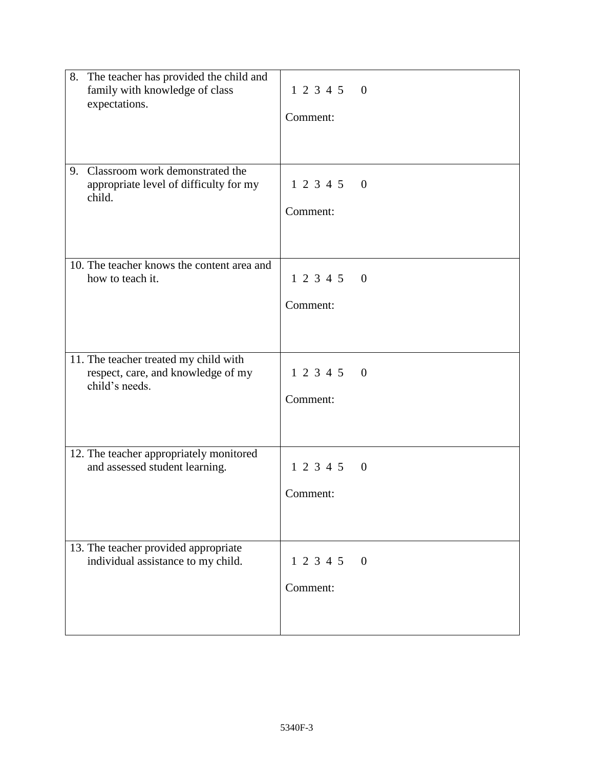|    | 8. The teacher has provided the child and<br>family with knowledge of class<br>expectations.<br>Classroom work demonstrated the | 123450<br>Comment:      |                          |
|----|---------------------------------------------------------------------------------------------------------------------------------|-------------------------|--------------------------|
| 9. | appropriate level of difficulty for my<br>child.                                                                                | 123450<br>Comment:      |                          |
|    | 10. The teacher knows the content area and<br>how to teach it.                                                                  | 123450<br>Comment:      |                          |
|    | 11. The teacher treated my child with<br>respect, care, and knowledge of my<br>child's needs.                                   | 1 2 3 4 5 0<br>Comment: |                          |
|    | 12. The teacher appropriately monitored<br>and assessed student learning.                                                       | 1 2 3 4 5 0<br>Comment: |                          |
|    | 13. The teacher provided appropriate<br>individual assistance to my child.                                                      | 1 2 3 4 5<br>Comment:   | $\overline{\phantom{0}}$ |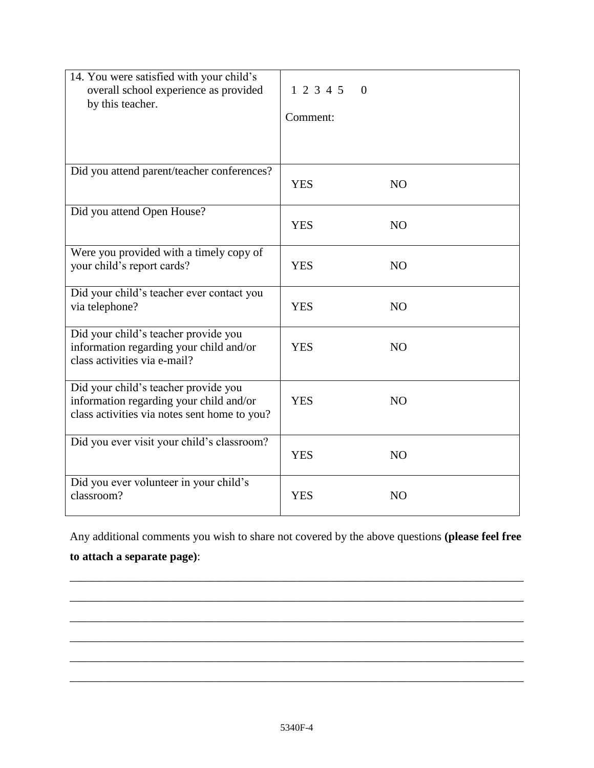| 14. You were satisfied with your child's<br>overall school experience as provided<br>by this teacher.                           | 12345<br>$\theta$<br>Comment: |
|---------------------------------------------------------------------------------------------------------------------------------|-------------------------------|
| Did you attend parent/teacher conferences?                                                                                      | <b>YES</b><br>N <sub>O</sub>  |
| Did you attend Open House?                                                                                                      | <b>YES</b><br>NO              |
| Were you provided with a timely copy of<br>your child's report cards?                                                           | <b>YES</b><br>NO              |
| Did your child's teacher ever contact you<br>via telephone?                                                                     | <b>YES</b><br><b>NO</b>       |
| Did your child's teacher provide you<br>information regarding your child and/or<br>class activities via e-mail?                 | <b>YES</b><br><b>NO</b>       |
| Did your child's teacher provide you<br>information regarding your child and/or<br>class activities via notes sent home to you? | <b>YES</b><br>N <sub>O</sub>  |
| Did you ever visit your child's classroom?                                                                                      | <b>YES</b><br>N <sub>O</sub>  |
| Did you ever volunteer in your child's<br>classroom?                                                                            | <b>YES</b><br>N <sub>O</sub>  |

Any additional comments you wish to share not covered by the above questions **(please feel free to attach a separate page)**:

\_\_\_\_\_\_\_\_\_\_\_\_\_\_\_\_\_\_\_\_\_\_\_\_\_\_\_\_\_\_\_\_\_\_\_\_\_\_\_\_\_\_\_\_\_\_\_\_\_\_\_\_\_\_\_\_\_\_\_\_\_\_\_\_\_\_\_\_\_\_\_\_\_\_\_\_\_\_

\_\_\_\_\_\_\_\_\_\_\_\_\_\_\_\_\_\_\_\_\_\_\_\_\_\_\_\_\_\_\_\_\_\_\_\_\_\_\_\_\_\_\_\_\_\_\_\_\_\_\_\_\_\_\_\_\_\_\_\_\_\_\_\_\_\_\_\_\_\_\_\_\_\_\_\_\_\_

\_\_\_\_\_\_\_\_\_\_\_\_\_\_\_\_\_\_\_\_\_\_\_\_\_\_\_\_\_\_\_\_\_\_\_\_\_\_\_\_\_\_\_\_\_\_\_\_\_\_\_\_\_\_\_\_\_\_\_\_\_\_\_\_\_\_\_\_\_\_\_\_\_\_\_\_\_\_

\_\_\_\_\_\_\_\_\_\_\_\_\_\_\_\_\_\_\_\_\_\_\_\_\_\_\_\_\_\_\_\_\_\_\_\_\_\_\_\_\_\_\_\_\_\_\_\_\_\_\_\_\_\_\_\_\_\_\_\_\_\_\_\_\_\_\_\_\_\_\_\_\_\_\_\_\_\_

\_\_\_\_\_\_\_\_\_\_\_\_\_\_\_\_\_\_\_\_\_\_\_\_\_\_\_\_\_\_\_\_\_\_\_\_\_\_\_\_\_\_\_\_\_\_\_\_\_\_\_\_\_\_\_\_\_\_\_\_\_\_\_\_\_\_\_\_\_\_\_\_\_\_\_\_\_\_

\_\_\_\_\_\_\_\_\_\_\_\_\_\_\_\_\_\_\_\_\_\_\_\_\_\_\_\_\_\_\_\_\_\_\_\_\_\_\_\_\_\_\_\_\_\_\_\_\_\_\_\_\_\_\_\_\_\_\_\_\_\_\_\_\_\_\_\_\_\_\_\_\_\_\_\_\_\_